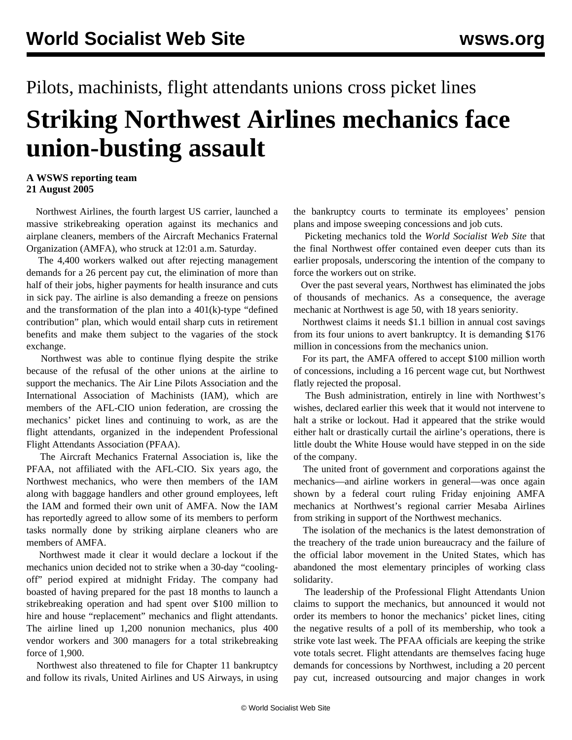## Pilots, machinists, flight attendants unions cross picket lines **Striking Northwest Airlines mechanics face union-busting assault**

## **A WSWS reporting team 21 August 2005**

 Northwest Airlines, the fourth largest US carrier, launched a massive strikebreaking operation against its mechanics and airplane cleaners, members of the Aircraft Mechanics Fraternal Organization (AMFA), who struck at 12:01 a.m. Saturday.

 The 4,400 workers walked out after rejecting management demands for a 26 percent pay cut, the elimination of more than half of their jobs, higher payments for health insurance and cuts in sick pay. The airline is also demanding a freeze on pensions and the transformation of the plan into a 401(k)-type "defined contribution" plan, which would entail sharp cuts in retirement benefits and make them subject to the vagaries of the stock exchange.

 Northwest was able to continue flying despite the strike because of the refusal of the other unions at the airline to support the mechanics. The Air Line Pilots Association and the International Association of Machinists (IAM), which are members of the AFL-CIO union federation, are crossing the mechanics' picket lines and continuing to work, as are the flight attendants, organized in the independent Professional Flight Attendants Association (PFAA).

 The Aircraft Mechanics Fraternal Association is, like the PFAA, not affiliated with the AFL-CIO. Six years ago, the Northwest mechanics, who were then members of the IAM along with baggage handlers and other ground employees, left the IAM and formed their own unit of AMFA. Now the IAM has reportedly agreed to allow some of its members to perform tasks normally done by striking airplane cleaners who are members of AMFA.

 Northwest made it clear it would declare a lockout if the mechanics union decided not to strike when a 30-day "coolingoff" period expired at midnight Friday. The company had boasted of having prepared for the past 18 months to launch a strikebreaking operation and had spent over \$100 million to hire and house "replacement" mechanics and flight attendants. The airline lined up 1,200 nonunion mechanics, plus 400 vendor workers and 300 managers for a total strikebreaking force of 1,900.

 Northwest also threatened to file for Chapter 11 bankruptcy and follow its rivals, United Airlines and US Airways, in using

the bankruptcy courts to terminate its employees' pension plans and impose sweeping concessions and job cuts.

 Picketing mechanics told the *World Socialist Web Site* that the final Northwest offer contained even deeper cuts than its earlier proposals, underscoring the intention of the company to force the workers out on strike.

 Over the past several years, Northwest has eliminated the jobs of thousands of mechanics. As a consequence, the average mechanic at Northwest is age 50, with 18 years seniority.

 Northwest claims it needs \$1.1 billion in annual cost savings from its four unions to avert bankruptcy. It is demanding \$176 million in concessions from the mechanics union.

 For its part, the AMFA offered to accept \$100 million worth of concessions, including a 16 percent wage cut, but Northwest flatly rejected the proposal.

 The Bush administration, entirely in line with Northwest's wishes, declared earlier this week that it would not intervene to halt a strike or lockout. Had it appeared that the strike would either halt or drastically curtail the airline's operations, there is little doubt the White House would have stepped in on the side of the company.

 The united front of government and corporations against the mechanics—and airline workers in general—was once again shown by a federal court ruling Friday enjoining AMFA mechanics at Northwest's regional carrier Mesaba Airlines from striking in support of the Northwest mechanics.

 The isolation of the mechanics is the latest demonstration of the treachery of the trade union bureaucracy and the failure of the official labor movement in the United States, which has abandoned the most elementary principles of working class solidarity.

 The leadership of the Professional Flight Attendants Union claims to support the mechanics, but announced it would not order its members to honor the mechanics' picket lines, citing the negative results of a poll of its membership, who took a strike vote last week. The PFAA officials are keeping the strike vote totals secret. Flight attendants are themselves facing huge demands for concessions by Northwest, including a 20 percent pay cut, increased outsourcing and major changes in work